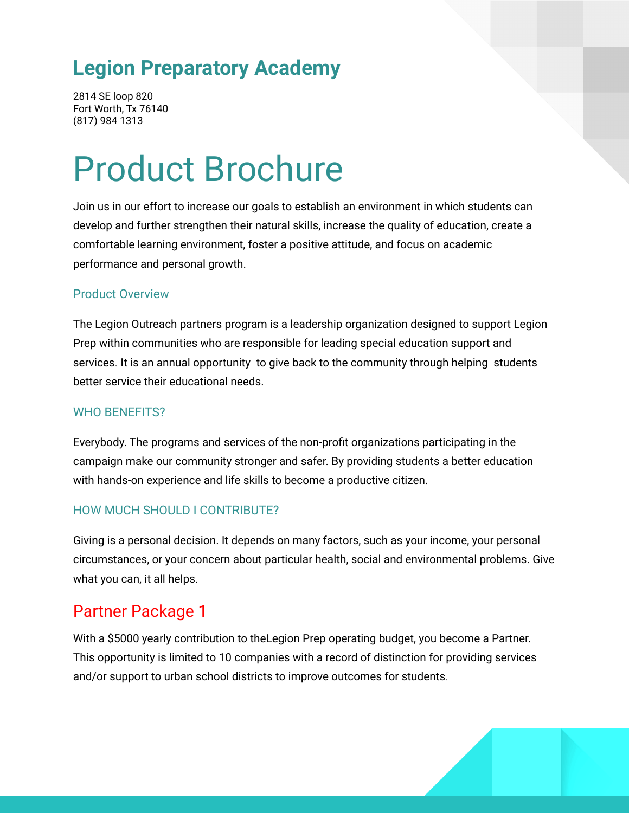# **Legion Preparatory Academy**

2814 SE loop 820 Fort Worth, Tx 76140 (817) 984 1313

# Product Brochure

Join us in our effort to increase our goals to establish an environment in which students can develop and further strengthen their natural skills, increase the quality of education, create a comfortable learning environment, foster a positive attitude, and focus on academic performance and personal growth.

#### Product Overview

The Legion Outreach partners program is a leadership organization designed to support Legion Prep within communities who are responsible for leading special education support and services. It is an annual opportunity to give back to the community through helping students better service their educational needs.

#### WHO BENEFITS?

Everybody. The programs and services of the non-profit organizations participating in the campaign make our community stronger and safer. By providing students a better education with hands-on experience and life skills to become a productive citizen.

## HOW MUCH SHOULD I CONTRIBUTE?

Giving is a personal decision. It depends on many factors, such as your income, your personal circumstances, or your concern about particular health, social and environmental problems. Give what you can, it all helps.

## Partner Package 1

With a \$5000 yearly contribution to theLegion Prep operating budget, you become a Partner. This opportunity is limited to 10 companies with a record of distinction for providing services and/or support to urban school districts to improve outcomes for students.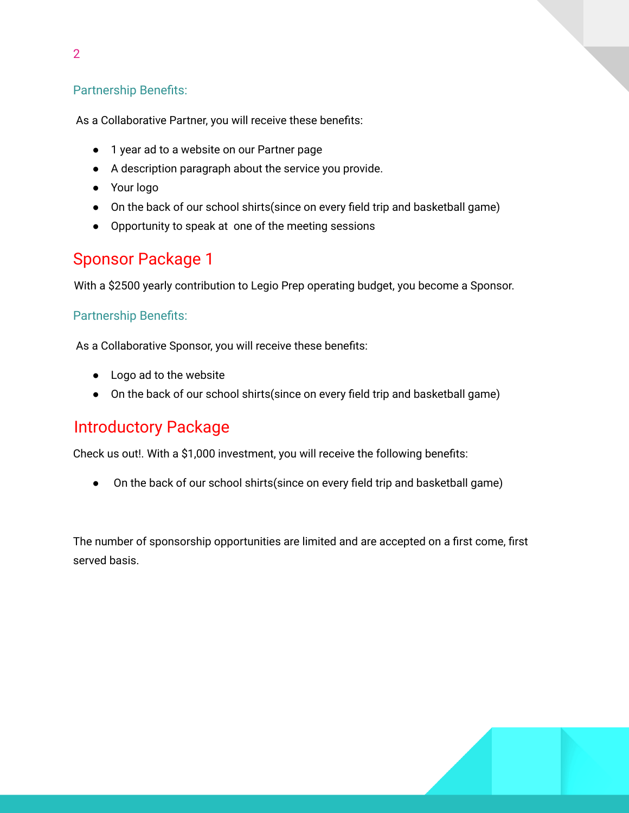## Partnership Benefits:

As a Collaborative Partner, you will receive these benefits:

- 1 year ad to a website on our Partner page
- A description paragraph about the service you provide.
- Your logo
- On the back of our school shirts(since on every field trip and basketball game)
- Opportunity to speak at one of the meeting sessions

## Sponsor Package 1

With a \$2500 yearly contribution to Legio Prep operating budget, you become a Sponsor.

## Partnership Benefits:

As a Collaborative Sponsor, you will receive these benefits:

- Logo ad to the website
- On the back of our school shirts(since on every field trip and basketball game)

## Introductory Package

Check us out!. With a \$1,000 investment, you will receive the following benefits:

● On the back of our school shirts(since on every field trip and basketball game)

The number of sponsorship opportunities are limited and are accepted on a first come, first served basis.